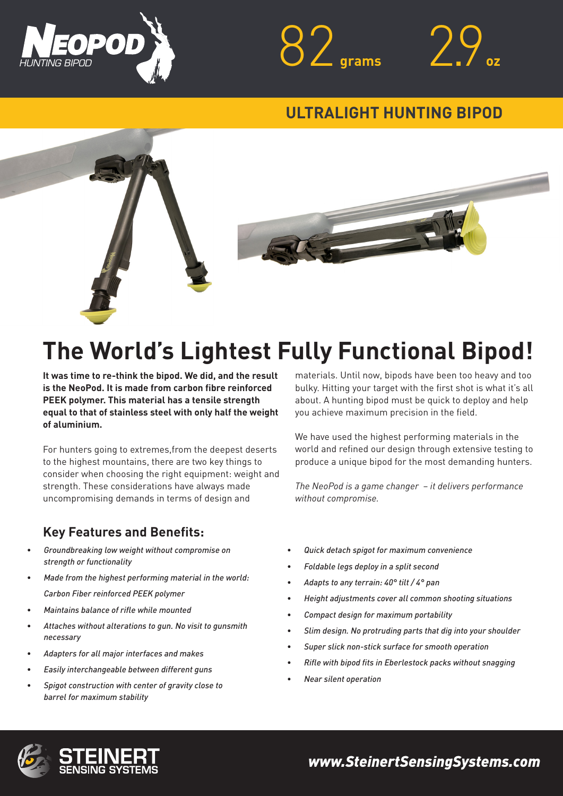



### **ULTRALIGHT HUNTING BIPOD**



# **The World's Lightest Fully Functional Bipod!**

**It was time to re-think the bipod. We did, and the result is the NeoPod. It is made from carbon fibre reinforced PEEK polymer. This material has a tensile strength equal to that of stainless steel with only half the weight of aluminium.**

For hunters going to extremes,from the deepest deserts to the highest mountains, there are two key things to consider when choosing the right equipment: weight and strength. These considerations have always made uncompromising demands in terms of design and

### **Key Features and Benefits:**

- *• Groundbreaking low weight without compromise on strength or functionality*
- *• Made from the highest performing material in the world: Carbon Fiber reinforced PEEK polymer*
- *• Maintains balance of rifle while mounted*
- *• Attaches without alterations to gun. No visit to gunsmith necessary*
- *• Adapters for all major interfaces and makes*
- *• Easily interchangeable between different guns*
- *• Spigot construction with center of gravity close to barrel for maximum stability*

materials. Until now, bipods have been too heavy and too bulky. Hitting your target with the first shot is what it's all about. A hunting bipod must be quick to deploy and help you achieve maximum precision in the field.

We have used the highest performing materials in the world and refined our design through extensive testing to produce a unique bipod for the most demanding hunters.

*The NeoPod is a game changer – it delivers performance without compromise.*

- *• Quick detach spigot for maximum convenience*
- *• Foldable legs deploy in a split second*
- *• Adapts to any terrain: 40° tilt / 4° pan*
- *• Height adjustments cover all common shooting situations*
- *• Compact design for maximum portability*
- *• Slim design. No protruding parts that dig into your shoulder*
- *• Super slick non-stick surface for smooth operation*
- *• Rifle with bipod fits in Eberlestock packs without snagging*
- *• Near silent operation*



*www.SteinertSensingSystems.com*